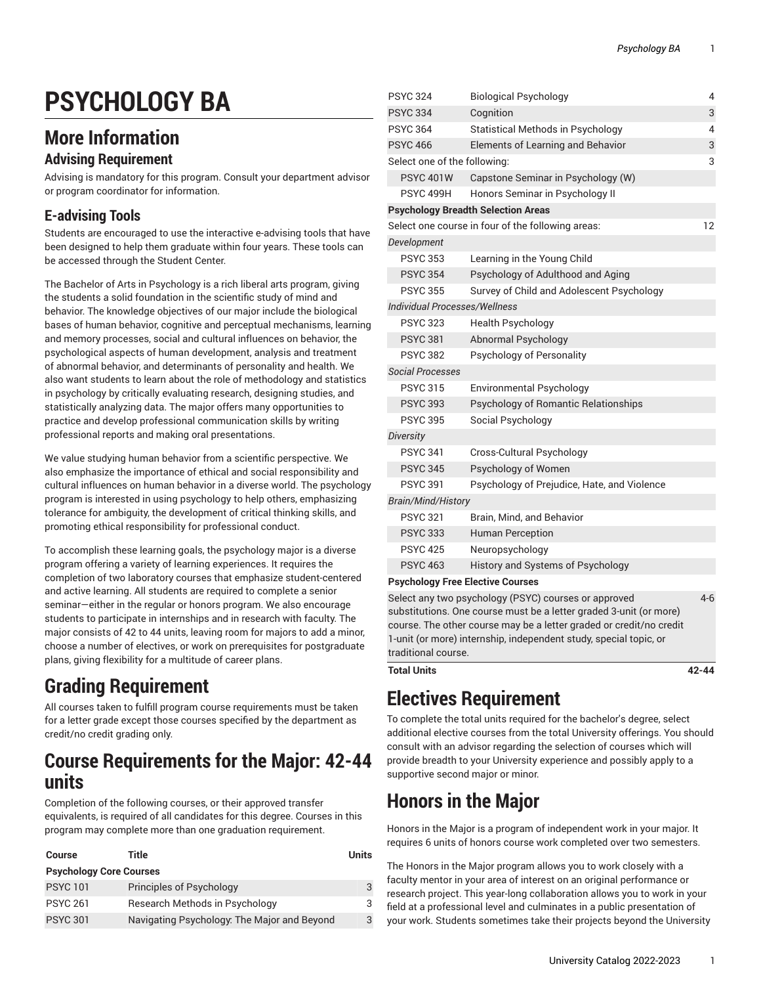# **PSYCHOLOGY BA**

# **More Information**

#### **Advising Requirement**

Advising is mandatory for this program. Consult your department advisor or program coordinator for information.

#### **E-advising Tools**

Students are encouraged to use the interactive e-advising tools that have been designed to help them graduate within four years. These tools can be accessed through the Student Center.

The Bachelor of Arts in Psychology is a rich liberal arts program, giving the students a solid foundation in the scientific study of mind and behavior. The knowledge objectives of our major include the biological bases of human behavior, cognitive and perceptual mechanisms, learning and memory processes, social and cultural influences on behavior, the psychological aspects of human development, analysis and treatment of abnormal behavior, and determinants of personality and health. We also want students to learn about the role of methodology and statistics in psychology by critically evaluating research, designing studies, and statistically analyzing data. The major offers many opportunities to practice and develop professional communication skills by writing professional reports and making oral presentations.

We value studying human behavior from a scientific perspective. We also emphasize the importance of ethical and social responsibility and cultural influences on human behavior in a diverse world. The psychology program is interested in using psychology to help others, emphasizing tolerance for ambiguity, the development of critical thinking skills, and promoting ethical responsibility for professional conduct.

To accomplish these learning goals, the psychology major is a diverse program offering a variety of learning experiences. It requires the completion of two laboratory courses that emphasize student-centered and active learning. All students are required to complete a senior seminar—either in the regular or honors program. We also encourage students to participate in internships and in research with faculty. The major consists of 42 to 44 units, leaving room for majors to add a minor, choose a number of electives, or work on prerequisites for postgraduate plans, giving flexibility for a multitude of career plans.

# **Grading Requirement**

All courses taken to fulfill program course requirements must be taken for a letter grade except those courses specified by the department as credit/no credit grading only.

# **Course Requirements for the Major: 42-44 units**

Completion of the following courses, or their approved transfer equivalents, is required of all candidates for this degree. Courses in this program may complete more than one graduation requirement.

| Course                         | Title                                       | Units |  |
|--------------------------------|---------------------------------------------|-------|--|
| <b>Psychology Core Courses</b> |                                             |       |  |
| <b>PSYC 101</b>                | Principles of Psychology                    |       |  |
| <b>PSYC 261</b>                | Research Methods in Psychology              | 3     |  |
| <b>PSYC 301</b>                | Navigating Psychology: The Major and Beyond | 3     |  |

| <b>PSYC 324</b>                         | <b>Biological Psychology</b>                         | 4   |
|-----------------------------------------|------------------------------------------------------|-----|
| <b>PSYC 334</b>                         | Cognition                                            | 3   |
| <b>PSYC 364</b>                         | <b>Statistical Methods in Psychology</b>             | 4   |
| <b>PSYC 466</b>                         | <b>Elements of Learning and Behavior</b>             | 3   |
| Select one of the following:            |                                                      | 3   |
| <b>PSYC 401W</b>                        | Capstone Seminar in Psychology (W)                   |     |
| PSYC 499H                               | Honors Seminar in Psychology II                      |     |
|                                         | <b>Psychology Breadth Selection Areas</b>            |     |
|                                         | Select one course in four of the following areas:    | 12  |
| Development                             |                                                      |     |
| <b>PSYC 353</b>                         | Learning in the Young Child                          |     |
| <b>PSYC 354</b>                         | Psychology of Adulthood and Aging                    |     |
| <b>PSYC 355</b>                         | Survey of Child and Adolescent Psychology            |     |
| <b>Individual Processes/Wellness</b>    |                                                      |     |
| <b>PSYC 323</b>                         | <b>Health Psychology</b>                             |     |
| <b>PSYC 381</b>                         | Abnormal Psychology                                  |     |
| <b>PSYC 382</b>                         | Psychology of Personality                            |     |
| <i><b>Social Processes</b></i>          |                                                      |     |
| <b>PSYC 315</b>                         | <b>Environmental Psychology</b>                      |     |
| <b>PSYC 393</b>                         | Psychology of Romantic Relationships                 |     |
| <b>PSYC 395</b>                         | Social Psychology                                    |     |
| Diversity                               |                                                      |     |
| <b>PSYC 341</b>                         | Cross-Cultural Psychology                            |     |
| <b>PSYC 345</b>                         | Psychology of Women                                  |     |
| <b>PSYC 391</b>                         | Psychology of Prejudice, Hate, and Violence          |     |
| Brain/Mind/History                      |                                                      |     |
| <b>PSYC 321</b>                         | Brain, Mind, and Behavior                            |     |
| <b>PSYC 333</b>                         | <b>Human Perception</b>                              |     |
| <b>PSYC 425</b>                         | Neuropsychology                                      |     |
| <b>PSYC 463</b>                         | History and Systems of Psychology                    |     |
| <b>Psychology Free Elective Courses</b> |                                                      |     |
|                                         | Select any two psychology (PSYC) courses or approved | 4-6 |

Select any two psychology (PSYC) courses or approved substitutions. One course must be a letter graded 3-unit (or more) course. The other course may be a letter graded or credit/no credit 1-unit (or more) internship, independent study, special topic, or traditional course.

**Total Units 42-44**

# **Electives Requirement**

To complete the total units required for the bachelor's degree, select additional elective courses from the total University offerings. You should consult with an advisor regarding the selection of courses which will provide breadth to your University experience and possibly apply to a supportive second major or minor.

# **Honors in the Major**

Honors in the Major is a program of independent work in your major. It requires 6 units of honors course work completed over two semesters.

The Honors in the Major program allows you to work closely with a faculty mentor in your area of interest on an original performance or research project. This year-long collaboration allows you to work in your field at a professional level and culminates in a public presentation of your work. Students sometimes take their projects beyond the University